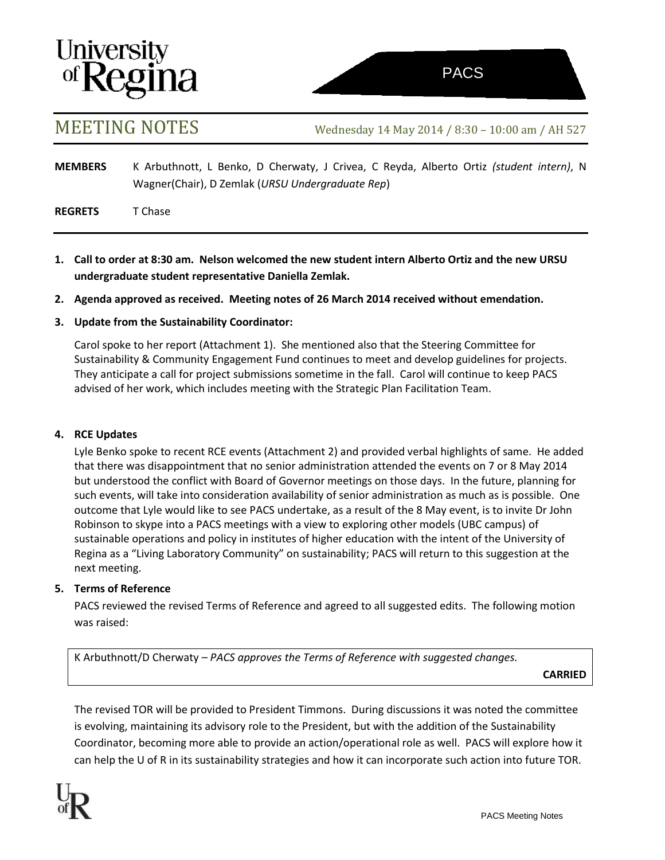# **University<br>of Regina**

MEETING NOTES Wednesday <sup>14</sup> May <sup>2014</sup> / 8:30 – 10:00 am / AH <sup>527</sup>

**MEMBERS** K Arbuthnott, L Benko, D Cherwaty, J Crivea, C Reyda, Alberto Ortiz *(student intern)*, N Wagner(Chair), D Zemlak (*URSU Undergraduate Rep*)

**REGRETS** T Chase

- **1. Call to order at 8:30 am. Nelson welcomed the new student intern Alberto Ortiz and the new URSU undergraduate student representative Daniella Zemlak.**
- **2. Agenda approved as received. Meeting notes of 26 March 2014 received without emendation.**

# **3. Update from the Sustainability Coordinator:**

Carol spoke to her report (Attachment 1). She mentioned also that the Steering Committee for Sustainability & Community Engagement Fund continues to meet and develop guidelines for projects. They anticipate a call for project submissions sometime in the fall. Carol will continue to keep PACS advised of her work, which includes meeting with the Strategic Plan Facilitation Team.

## **4. RCE Updates**

Lyle Benko spoke to recent RCE events (Attachment 2) and provided verbal highlights of same. He added that there was disappointment that no senior administration attended the events on 7 or 8 May 2014 but understood the conflict with Board of Governor meetings on those days. In the future, planning for such events, will take into consideration availability of senior administration as much as is possible. One outcome that Lyle would like to see PACS undertake, as a result of the 8 May event, is to invite Dr John Robinson to skype into a PACS meetings with a view to exploring other models (UBC campus) of sustainable operations and policy in institutes of higher education with the intent of the University of Regina as a "Living Laboratory Community" on sustainability; PACS will return to this suggestion at the next meeting.

# **5. Terms of Reference**

PACS reviewed the revised Terms of Reference and agreed to all suggested edits. The following motion was raised:

K Arbuthnott/D Cherwaty *– PACS approves the Terms of Reference with suggested changes.*

**CARRIED**

The revised TOR will be provided to President Timmons. During discussions it was noted the committee is evolving, maintaining its advisory role to the President, but with the addition of the Sustainability Coordinator, becoming more able to provide an action/operational role as well. PACS will explore how it can help the U of R in its sustainability strategies and how it can incorporate such action into future TOR.